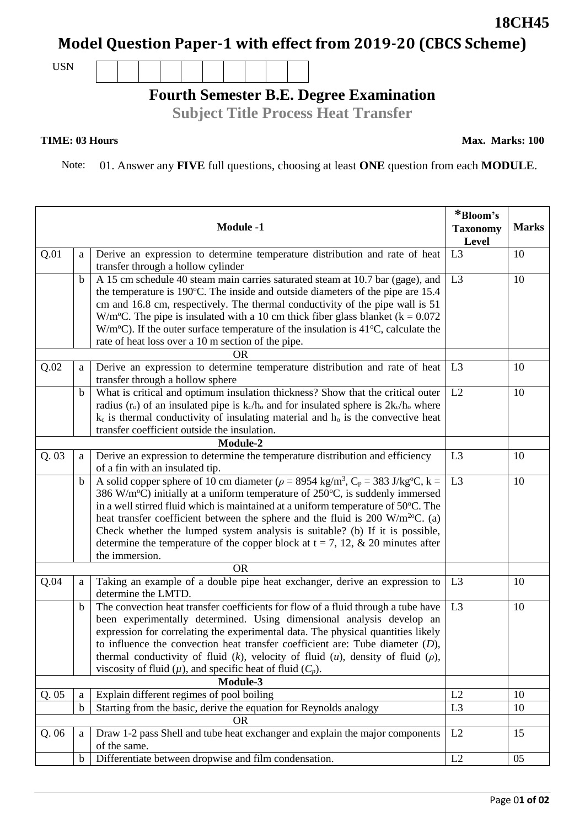## **Model Question Paper-1 with effect from 2019-20 (CBCS Scheme)**

USN

## **Fourth Semester B.E. Degree Examination**

**Subject Title Process Heat Transfer**

## **TIME: 03 Hours**

Note: 01. Answer any **FIVE** full questions, choosing at least **ONE** question from each **MODULE**.

|          |             | <b>Module -1</b>                                                                                                                                                                                                                                                                                                                                                                                                                                                                                                                                                                                                    | *Bloom's<br><b>Taxonomy</b><br>Level | <b>Marks</b> |  |
|----------|-------------|---------------------------------------------------------------------------------------------------------------------------------------------------------------------------------------------------------------------------------------------------------------------------------------------------------------------------------------------------------------------------------------------------------------------------------------------------------------------------------------------------------------------------------------------------------------------------------------------------------------------|--------------------------------------|--------------|--|
| Q.01     | a           | Derive an expression to determine temperature distribution and rate of heat<br>transfer through a hollow cylinder                                                                                                                                                                                                                                                                                                                                                                                                                                                                                                   | L <sub>3</sub>                       | 10           |  |
|          | $\mathbf b$ | A 15 cm schedule 40 steam main carries saturated steam at 10.7 bar (gage), and<br>the temperature is 190°C. The inside and outside diameters of the pipe are 15.4<br>cm and 16.8 cm, respectively. The thermal conductivity of the pipe wall is 51<br>W/m <sup>o</sup> C. The pipe is insulated with a 10 cm thick fiber glass blanket ( $k = 0.072$ )<br>$W/m^{\circ}C$ ). If the outer surface temperature of the insulation is 41 $^{\circ}C$ , calculate the<br>rate of heat loss over a 10 m section of the pipe.                                                                                              | L <sub>3</sub>                       | 10           |  |
| Q.02     | a           | <b>OR</b><br>Derive an expression to determine temperature distribution and rate of heat<br>transfer through a hollow sphere                                                                                                                                                                                                                                                                                                                                                                                                                                                                                        | L <sub>3</sub>                       | 10           |  |
|          | $\mathbf b$ | What is critical and optimum insulation thickness? Show that the critical outer<br>radius ( $r_o$ ) of an insulated pipe is $k_c/h_o$ and for insulated sphere is $2k_c/h_o$ where<br>$k_c$ is thermal conductivity of insulating material and $h_o$ is the convective heat<br>transfer coefficient outside the insulation.                                                                                                                                                                                                                                                                                         | L2                                   | 10           |  |
| Module-2 |             |                                                                                                                                                                                                                                                                                                                                                                                                                                                                                                                                                                                                                     |                                      |              |  |
| Q.03     | a           | Derive an expression to determine the temperature distribution and efficiency<br>of a fin with an insulated tip.                                                                                                                                                                                                                                                                                                                                                                                                                                                                                                    | L <sub>3</sub>                       | 10           |  |
|          | $\mathbf b$ | A solid copper sphere of 10 cm diameter ( $\rho = 895\overline{4 \text{ kg/m}^3}$ , $C_p = 383 \text{ J/kg}^{\circ}\text{C}$ , k =<br>386 W/m <sup>o</sup> C) initially at a uniform temperature of $250^{\circ}$ C, is suddenly immersed<br>in a well stirred fluid which is maintained at a uniform temperature of 50°C. The<br>heat transfer coefficient between the sphere and the fluid is 200 W/m <sup>2o</sup> C. (a)<br>Check whether the lumped system analysis is suitable? (b) If it is possible,<br>determine the temperature of the copper block at $t = 7$ , 12, & 20 minutes after<br>the immersion. | L <sub>3</sub>                       | 10           |  |
|          |             |                                                                                                                                                                                                                                                                                                                                                                                                                                                                                                                                                                                                                     |                                      |              |  |
| Q.04     | a           | Taking an example of a double pipe heat exchanger, derive an expression to<br>determine the LMTD.                                                                                                                                                                                                                                                                                                                                                                                                                                                                                                                   | L <sub>3</sub>                       | 10           |  |
|          | b           | The convection heat transfer coefficients for flow of a fluid through a tube have<br>been experimentally determined. Using dimensional analysis develop an<br>expression for correlating the experimental data. The physical quantities likely<br>to influence the convection heat transfer coefficient are: Tube diameter $(D)$ ,<br>thermal conductivity of fluid $(k)$ , velocity of fluid $(u)$ , density of fluid $(\rho)$ ,<br>viscosity of fluid $(\mu)$ , and specific heat of fluid $(C_p)$ .                                                                                                              | L <sub>3</sub>                       | 10           |  |
| Module-3 |             |                                                                                                                                                                                                                                                                                                                                                                                                                                                                                                                                                                                                                     |                                      |              |  |
| Q.05     | a           | Explain different regimes of pool boiling                                                                                                                                                                                                                                                                                                                                                                                                                                                                                                                                                                           | L2                                   | 10           |  |
|          | $\mathbf b$ | Starting from the basic, derive the equation for Reynolds analogy<br><b>OR</b>                                                                                                                                                                                                                                                                                                                                                                                                                                                                                                                                      | L <sub>3</sub>                       | 10           |  |
| Q.06     | a           | Draw 1-2 pass Shell and tube heat exchanger and explain the major components<br>of the same.                                                                                                                                                                                                                                                                                                                                                                                                                                                                                                                        | L2                                   | 15           |  |
|          | $\mathbf b$ | Differentiate between dropwise and film condensation.                                                                                                                                                                                                                                                                                                                                                                                                                                                                                                                                                               | L2                                   | 05           |  |

**18CH45**

**Max. Marks: 100**